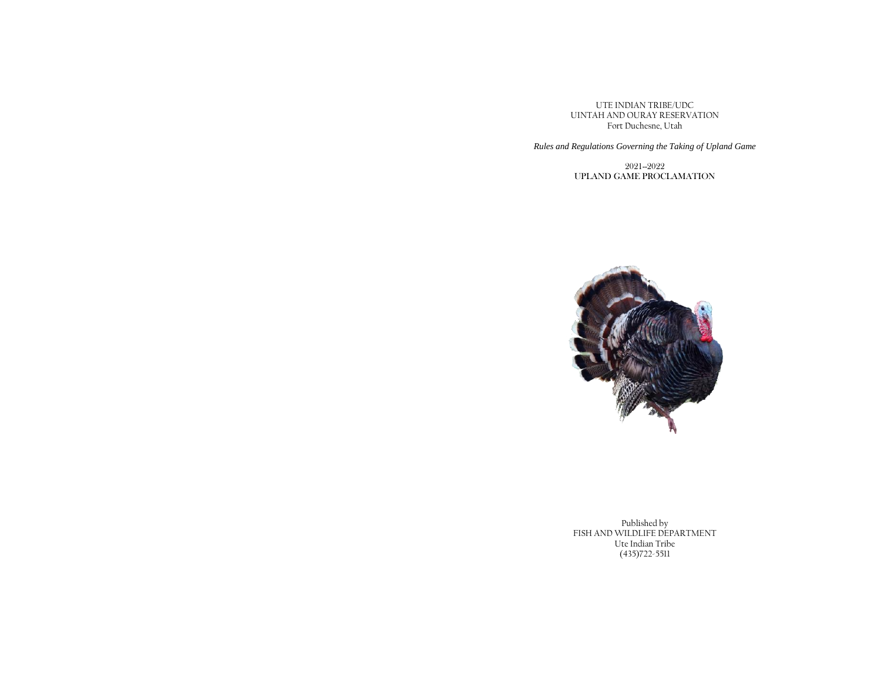UTE INDIAN TRIBE/UDC UINTAH AND OURAY RESERVATION Fort Duchesne, Utah

*Rules and Regulations Governing the Taking of Upland Game*

2021--2022 UPLAND GAME PROCLAMATION



Published by FISH AND WILDLIFE DEPARTMENT Ute Indian Tribe (435)722-5511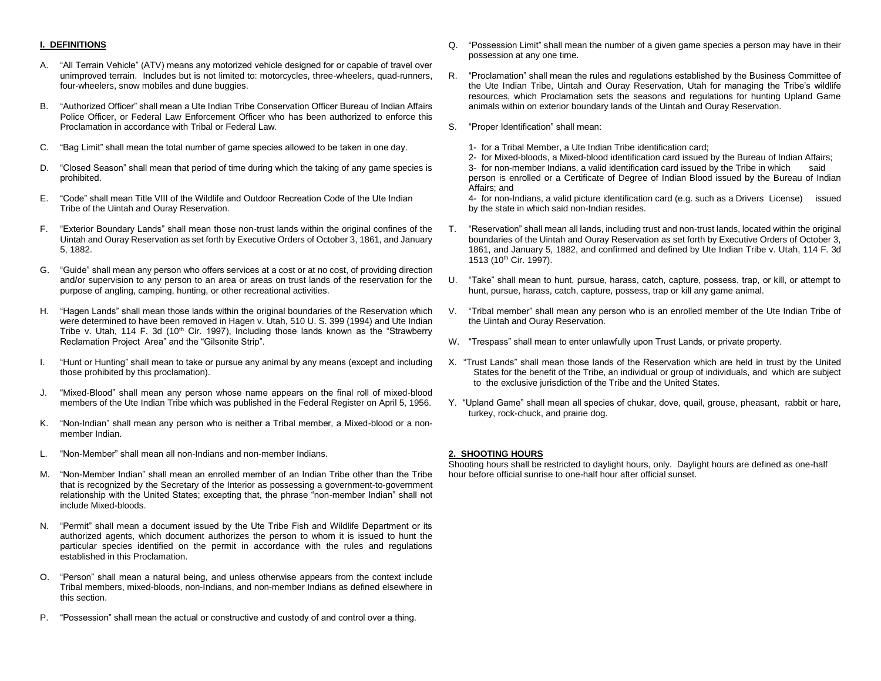## **I. DEFINITIONS**

- A. "All Terrain Vehicle" (ATV) means any motorized vehicle designed for or capable of travel over unimproved terrain. Includes but is not limited to: motorcycles, three-wheelers, quad-runners, four-wheelers, snow mobiles and dune buggies.
- B. "Authorized Officer" shall mean a Ute Indian Tribe Conservation Officer Bureau of Indian Affairs Police Officer, or Federal Law Enforcement Officer who has been authorized to enforce this Proclamation in accordance with Tribal or Federal Law.
- C. "Bag Limit" shall mean the total number of game species allowed to be taken in one day.
- D. "Closed Season" shall mean that period of time during which the taking of any game species is prohibited.
- E. "Code" shall mean Title VIII of the Wildlife and Outdoor Recreation Code of the Ute Indian Tribe of the Uintah and Ouray Reservation.
- F. "Exterior Boundary Lands" shall mean those non-trust lands within the original confines of the Uintah and Ouray Reservation as set forth by Executive Orders of October 3, 1861, and January 5, 1882.
- G. "Guide" shall mean any person who offers services at a cost or at no cost, of providing direction and/or supervision to any person to an area or areas on trust lands of the reservation for the purpose of angling, camping, hunting, or other recreational activities.
- H. "Hagen Lands" shall mean those lands within the original boundaries of the Reservation which were determined to have been removed in Hagen v. Utah, 510 U. S. 399 (1994) and Ute Indian Tribe v. Utah, 114 F. 3d (10<sup>th</sup> Cir. 1997), Including those lands known as the "Strawberry Reclamation Project Area" and the "Gilsonite Strip".
- I. "Hunt or Hunting" shall mean to take or pursue any animal by any means (except and including those prohibited by this proclamation).
- J. "Mixed-Blood" shall mean any person whose name appears on the final roll of mixed-blood members of the Ute Indian Tribe which was published in the Federal Register on April 5, 1956.
- K. "Non-Indian" shall mean any person who is neither a Tribal member, a Mixed-blood or a nonmember Indian.
- L. "Non-Member" shall mean all non-Indians and non-member Indians.
- M. "Non-Member Indian" shall mean an enrolled member of an Indian Tribe other than the Tribe that is recognized by the Secretary of the Interior as possessing a government-to-government relationship with the United States; excepting that, the phrase "non-member Indian" shall not include Mixed-bloods.
- N. "Permit" shall mean a document issued by the Ute Tribe Fish and Wildlife Department or its authorized agents, which document authorizes the person to whom it is issued to hunt the particular species identified on the permit in accordance with the rules and regulations established in this Proclamation.
- O. "Person" shall mean a natural being, and unless otherwise appears from the context include Tribal members, mixed-bloods, non-Indians, and non-member Indians as defined elsewhere in this section.
- P. "Possession" shall mean the actual or constructive and custody of and control over a thing.
- Q. "Possession Limit" shall mean the number of a given game species a person may have in their possession at any one time.
- R. "Proclamation" shall mean the rules and regulations established by the Business Committee of the Ute Indian Tribe, Uintah and Ouray Reservation, Utah for managing the Tribe's wildlife resources, which Proclamation sets the seasons and regulations for hunting Upland Game animals within on exterior boundary lands of the Uintah and Ouray Reservation.
- S. "Proper Identification" shall mean:
	- 1- for a Tribal Member, a Ute Indian Tribe identification card;
	- 2- for Mixed-bloods, a Mixed-blood identification card issued by the Bureau of Indian Affairs; 3- for non-member Indians, a valid identification card issued by the Tribe in which said person is enrolled or a Certificate of Degree of Indian Blood issued by the Bureau of Indian Affairs; and

4- for non-Indians, a valid picture identification card (e.g. such as a Drivers License) issued by the state in which said non-Indian resides.

- T. "Reservation" shall mean all lands, including trust and non-trust lands, located within the original boundaries of the Uintah and Ouray Reservation as set forth by Executive Orders of October 3, 1861, and January 5, 1882, and confirmed and defined by Ute Indian Tribe v. Utah, 114 F. 3d 1513 (10<sup>th</sup> Cir. 1997).
- U. "Take" shall mean to hunt, pursue, harass, catch, capture, possess, trap, or kill, or attempt to hunt, pursue, harass, catch, capture, possess, trap or kill any game animal.
- V. "Tribal member" shall mean any person who is an enrolled member of the Ute Indian Tribe of the Uintah and Ouray Reservation.
- W. "Trespass" shall mean to enter unlawfully upon Trust Lands, or private property.
- X. "Trust Lands" shall mean those lands of the Reservation which are held in trust by the United States for the benefit of the Tribe, an individual or group of individuals, and which are subject to the exclusive jurisdiction of the Tribe and the United States.
- Y. "Upland Game" shall mean all species of chukar, dove, quail, grouse, pheasant, rabbit or hare, turkey, rock-chuck, and prairie dog.

# **2. SHOOTING HOURS**

Shooting hours shall be restricted to daylight hours, only. Daylight hours are defined as one-half hour before official sunrise to one-half hour after official sunset.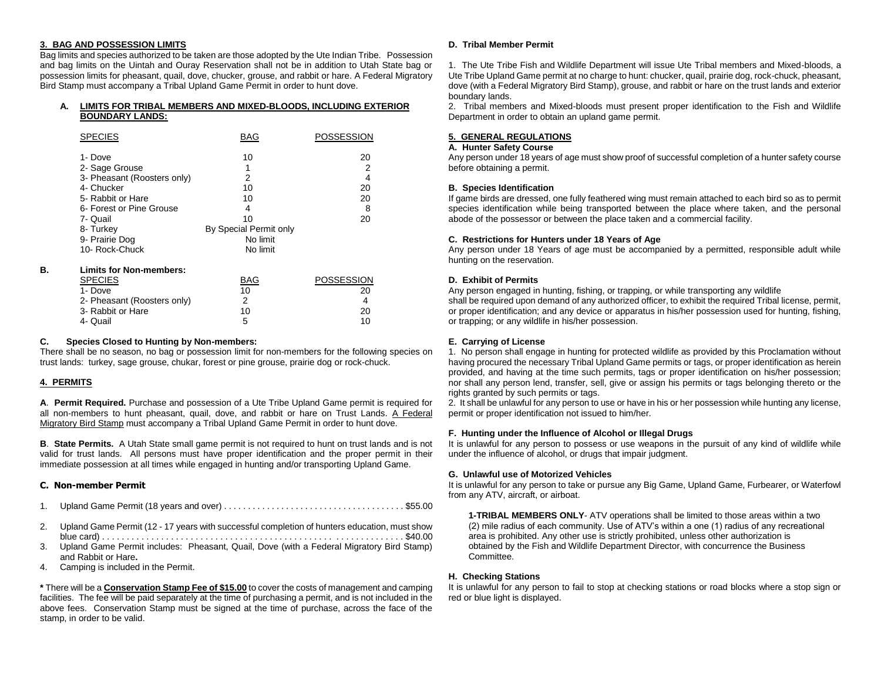# **3. BAG AND POSSESSION LIMITS**

Bag limits and species authorized to be taken are those adopted by the Ute Indian Tribe. Possession and bag limits on the Uintah and Ouray Reservation shall not be in addition to Utah State bag or possession limits for pheasant, quail, dove, chucker, grouse, and rabbit or hare. A Federal Migratory Bird Stamp must accompany a Tribal Upland Game Permit in order to hunt dove.

## **A. LIMITS FOR TRIBAL MEMBERS AND MIXED-BLOODS, INCLUDING EXTERIOR BOUNDARY LANDS:**

|    | <b>SPECIES</b>                 | BAG                    | POSSESSION |
|----|--------------------------------|------------------------|------------|
|    | 1- Dove                        | 10                     | 20         |
|    | 2- Sage Grouse                 | 1                      | 2          |
|    | 3- Pheasant (Roosters only)    | 2                      | 4          |
|    | 4- Chucker                     | 10                     | 20         |
|    | 5- Rabbit or Hare              | 10                     | 20         |
|    | 6- Forest or Pine Grouse       | 4                      | 8          |
|    | 7- Quail                       | 10                     | 20         |
|    | 8- Turkey                      | By Special Permit only |            |
|    | 9- Prairie Dog                 | No limit               |            |
|    | 10- Rock-Chuck                 | No limit               |            |
| В. | <b>Limits for Non-members:</b> |                        |            |
|    | <b>SPECIES</b>                 | BAG                    | POSSESSION |
|    | 1- Dove                        | 10                     | 20         |
|    | 2- Pheasant (Roosters only)    | 2                      | 4          |
|    | 3- Rabbit or Hare              | 10                     | 20         |
|    | 4- Quail                       | 5                      | 10         |

## **C. Species Closed to Hunting by Non-members:**

There shall be no season, no bag or possession limit for non-members for the following species on trust lands: turkey, sage grouse, chukar, forest or pine grouse, prairie dog or rock-chuck.

# **4. PERMITS**

**A**. **Permit Required.** Purchase and possession of a Ute Tribe Upland Game permit is required for all non-members to hunt pheasant, quail, dove, and rabbit or hare on Trust Lands. A Federal Migratory Bird Stamp must accompany a Tribal Upland Game Permit in order to hunt dove.

**B**. **State Permits.** A Utah State small game permit is not required to hunt on trust lands and is not valid for trust lands. All persons must have proper identification and the proper permit in their immediate possession at all times while engaged in hunting and/or transporting Upland Game.

# **C. Non-member Permit**

- 1. Upland Game Permit (18 years and over) . . . . . . . . . . . . . . . . . . . . . . . . . . . . . . . . . . . . . . \$55.00
- 2. Upland Game Permit (12 17 years with successful completion of hunters education, must show blue card) . . . . . . . . . . . . . . . . . . . . . . . . . . . . . . . . . . . . . . . . . . . . . . . . . . . . . . . . . . . . . \$40.00
- 3. Upland Game Permit includes: Pheasant, Quail, Dove (with a Federal Migratory Bird Stamp) and Rabbit or Hare**.**
- 4. Camping is included in the Permit.

**\*** There will be a **Conservation Stamp Fee of \$15.00** to cover the costs of management and camping facilities. The fee will be paid separately at the time of purchasing a permit, and is not included in the above fees. Conservation Stamp must be signed at the time of purchase, across the face of the stamp, in order to be valid.

## **D. Tribal Member Permit**

1. The Ute Tribe Fish and Wildlife Department will issue Ute Tribal members and Mixed-bloods, a Ute Tribe Upland Game permit at no charge to hunt: chucker, quail, prairie dog, rock-chuck, pheasant, dove (with a Federal Migratory Bird Stamp), grouse, and rabbit or hare on the trust lands and exterior boundary lands.

2. Tribal members and Mixed-bloods must present proper identification to the Fish and Wildlife Department in order to obtain an upland game permit.

## **5. GENERAL REGULATIONS**

## **A. Hunter Safety Course**

Any person under 18 years of age must show proof of successful completion of a hunter safety course before obtaining a permit.

#### **B. Species Identification**

If game birds are dressed, one fully feathered wing must remain attached to each bird so as to permit species identification while being transported between the place where taken, and the personal abode of the possessor or between the place taken and a commercial facility.

#### **C. Restrictions for Hunters under 18 Years of Age**

Any person under 18 Years of age must be accompanied by a permitted, responsible adult while hunting on the reservation.

## **D. Exhibit of Permits**

Any person engaged in hunting, fishing, or trapping, or while transporting any wildlife shall be required upon demand of any authorized officer, to exhibit the required Tribal license, permit, or proper identification; and any device or apparatus in his/her possession used for hunting, fishing, or trapping; or any wildlife in his/her possession.

## **E. Carrying of License**

1. No person shall engage in hunting for protected wildlife as provided by this Proclamation without having procured the necessary Tribal Upland Game permits or tags, or proper identification as herein provided, and having at the time such permits, tags or proper identification on his/her possession; nor shall any person lend, transfer, sell, give or assign his permits or tags belonging thereto or the rights granted by such permits or tags.

2. It shall be unlawful for any person to use or have in his or her possession while hunting any license, permit or proper identification not issued to him/her.

#### **F. Hunting under the Influence of Alcohol or Illegal Drugs**

It is unlawful for any person to possess or use weapons in the pursuit of any kind of wildlife while under the influence of alcohol, or drugs that impair judgment.

#### **G. Unlawful use of Motorized Vehicles**

It is unlawful for any person to take or pursue any Big Game, Upland Game, Furbearer, or Waterfowl from any ATV, aircraft, or airboat.

**1-TRIBAL MEMBERS ONLY**- ATV operations shall be limited to those areas within a two (2) mile radius of each community. Use of ATV's within a one (1) radius of any recreational area is prohibited. Any other use is strictly prohibited, unless other authorization is obtained by the Fish and Wildlife Department Director, with concurrence the Business Committee.

#### **H. Checking Stations**

It is unlawful for any person to fail to stop at checking stations or road blocks where a stop sign or red or blue light is displayed.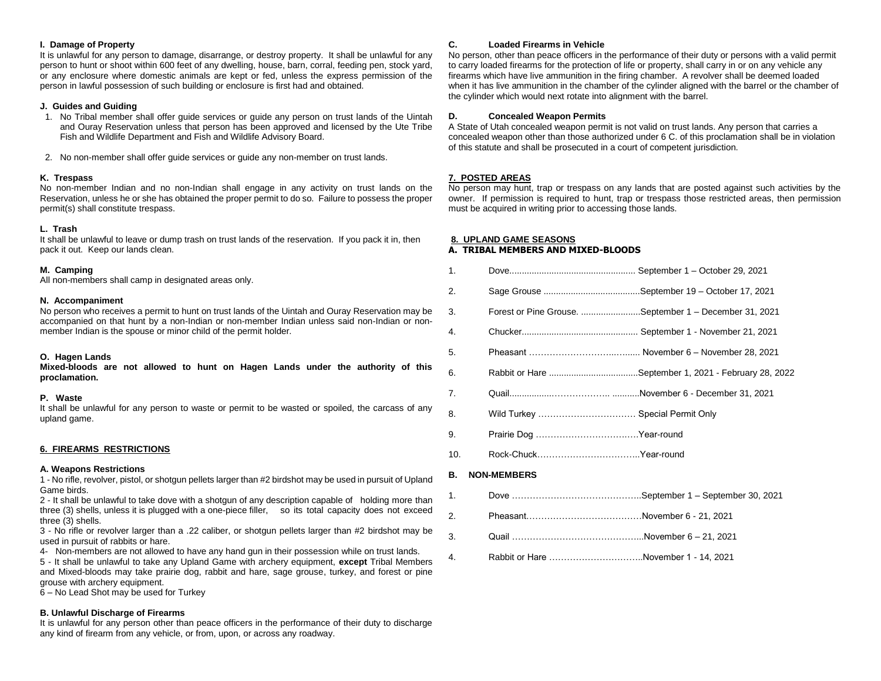## **I. Damage of Property**

It is unlawful for any person to damage, disarrange, or destroy property. It shall be unlawful for any person to hunt or shoot within 600 feet of any dwelling, house, barn, corral, feeding pen, stock yard, or any enclosure where domestic animals are kept or fed, unless the express permission of the person in lawful possession of such building or enclosure is first had and obtained.

# **J. Guides and Guiding**

- 1. No Tribal member shall offer guide services or guide any person on trust lands of the Uintah and Ouray Reservation unless that person has been approved and licensed by the Ute Tribe Fish and Wildlife Department and Fish and Wildlife Advisory Board.
- 2. No non-member shall offer guide services or guide any non-member on trust lands.

# **K. Trespass**

No non-member Indian and no non-Indian shall engage in any activity on trust lands on the Reservation, unless he or she has obtained the proper permit to do so. Failure to possess the proper permit(s) shall constitute trespass.

# **L. Trash**

It shall be unlawful to leave or dump trash on trust lands of the reservation. If you pack it in, then pack it out. Keep our lands clean.

# **M. Camping**

All non-members shall camp in designated areas only.

## **N. Accompaniment**

No person who receives a permit to hunt on trust lands of the Uintah and Ouray Reservation may be accompanied on that hunt by a non-Indian or non-member Indian unless said non-Indian or nonmember Indian is the spouse or minor child of the permit holder.

#### **O. Hagen Lands**

**Mixed-bloods are not allowed to hunt on Hagen Lands under the authority of this proclamation.**

#### **P. Waste**

It shall be unlawful for any person to waste or permit to be wasted or spoiled, the carcass of any upland game.

# **6. FIREARMS RESTRICTIONS**

# **A. Weapons Restrictions**

1 - No rifle, revolver, pistol, or shotgun pellets larger than #2 birdshot may be used in pursuit of Upland Game birds.

2 - It shall be unlawful to take dove with a shotgun of any description capable of holding more than three (3) shells, unless it is plugged with a one-piece filler, so its total capacity does not exceed three (3) shells.

3 - No rifle or revolver larger than a .22 caliber, or shotgun pellets larger than #2 birdshot may be used in pursuit of rabbits or hare.

4- Non-members are not allowed to have any hand gun in their possession while on trust lands.

5 - It shall be unlawful to take any Upland Game with archery equipment, **except** Tribal Members and Mixed-bloods may take prairie dog, rabbit and hare, sage grouse, turkey, and forest or pine grouse with archery equipment.

6 – No Lead Shot may be used for Turkey

# **B. Unlawful Discharge of Firearms**

It is unlawful for any person other than peace officers in the performance of their duty to discharge any kind of firearm from any vehicle, or from, upon, or across any roadway.

# **C. Loaded Firearms in Vehicle**

No person, other than peace officers in the performance of their duty or persons with a valid permit to carry loaded firearms for the protection of life or property, shall carry in or on any vehicle any firearms which have live ammunition in the firing chamber. A revolver shall be deemed loaded when it has live ammunition in the chamber of the cylinder aligned with the barrel or the chamber of the cylinder which would next rotate into alignment with the barrel.

# **D. Concealed Weapon Permits**

A State of Utah concealed weapon permit is not valid on trust lands. Any person that carries a concealed weapon other than those authorized under 6 C. of this proclamation shall be in violation of this statute and shall be prosecuted in a court of competent jurisdiction.

# **7. POSTED AREAS**

No person may hunt, trap or trespass on any lands that are posted against such activities by the owner. If permission is required to hunt, trap or trespass those restricted areas, then permission must be acquired in writing prior to accessing those lands.

# **8. UPLAND GAME SEASONS**

## **A. TRIBAL MEMBERS AND MIXED-BLOODS**

| 1.  |                                  |                                                        |
|-----|----------------------------------|--------------------------------------------------------|
| 2.  |                                  |                                                        |
| 3.  |                                  | Forest or Pine Grouse. September 1 - December 31, 2021 |
| 4.  |                                  |                                                        |
| 5.  |                                  |                                                        |
| 6.  |                                  | Rabbit or Hare September 1, 2021 - February 28, 2022   |
| 7.  |                                  |                                                        |
| 8.  | Wild Turkey  Special Permit Only |                                                        |
| 9.  | Prairie Dog Year-round           |                                                        |
| 10. | Rock-ChuckYear-round             |                                                        |
| В.  | <b>NON-MEMBERS</b>               |                                                        |
| 1.  |                                  |                                                        |
| 2.  |                                  |                                                        |
| 3.  |                                  |                                                        |

4. Rabbit or Hare …………………………..November 1 - 14, 2021